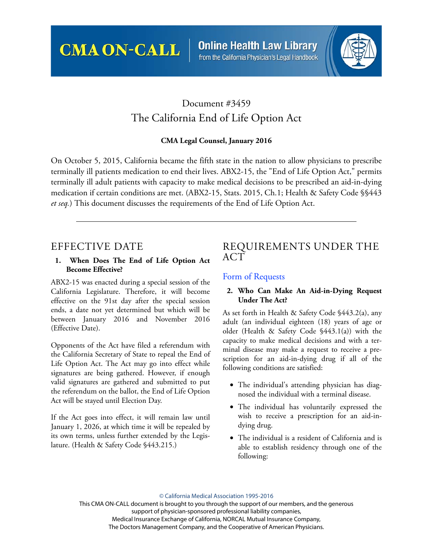**CMA ON-CALL** 

**Online Health Law Library** from the California Physician's Legal Handbook



# Document #3459 The California End of Life Option Act

### **CMA Legal Counsel, January 2016**

On October 5, 2015, California became the fifth state in the nation to allow physicians to prescribe terminally ill patients medication to end their lives. ABX2-15, the "End of Life Option Act," permits terminally ill adult patients with capacity to make medical decisions to be prescribed an aid-in-dying medication if certain conditions are met. (ABX2-15, Stats. 2015, Ch.1; Health & Safety Code §§443 *et seq.*) This document discusses the requirements of the End of Life Option Act.

## EFFECTIVE DATE

#### **1. When Does The End of Life Option Act Become Effective?**

ABX2-15 was enacted during a special session of the California Legislature. Therefore, it will become effective on the 91st day after the special session ends, a date not yet determined but which will be between January 2016 and November 2016 (Effective Date).

Opponents of the Act have filed a referendum with the California Secretary of State to repeal the End of Life Option Act. The Act may go into effect while signatures are being gathered. However, if enough valid signatures are gathered and submitted to put the referendum on the ballot, the End of Life Option Act will be stayed until Election Day.

If the Act goes into effect, it will remain law until January 1, 2026, at which time it will be repealed by its own terms, unless further extended by the Legislature. (Health & Safety Code §443.215.)

## REQUIREMENTS UNDER THE ACT

### Form of Requests

#### **2. Who Can Make An Aid-in-Dying Request Under The Act?**

As set forth in Health & Safety Code §443.2(a), any adult (an individual eighteen (18) years of age or older (Health & Safety Code §443.1(a)) with the capacity to make medical decisions and with a terminal disease may make a request to receive a prescription for an aid-in-dying drug if all of the following conditions are satisfied:

- The individual's attending physician has diagnosed the individual with a terminal disease.
- The individual has voluntarily expressed the wish to receive a prescription for an aid-indying drug.
- The individual is a resident of California and is able to establish residency through one of the following:

#### © California Medical Association 1995-2016

This CMA ON-CALL document is brought to you through the support of our members, and the generous support of physician-sponsored professional liability companies, Medical Insurance Exchange of California, NORCAL Mutual Insurance Company, The Doctors Management Company, and the Cooperative of American Physicians.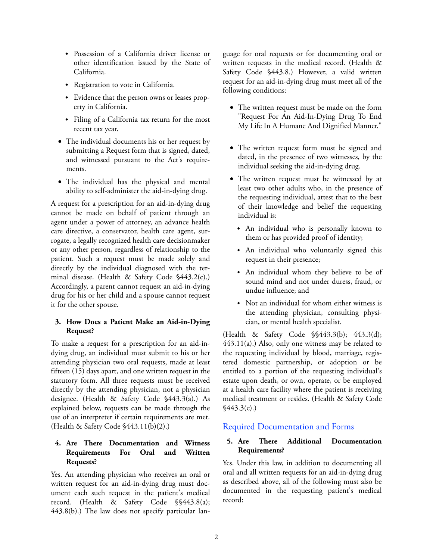- Possession of a California driver license or other identification issued by the State of California.
- Registration to vote in California.
- Evidence that the person owns or leases property in California.
- Filing of a California tax return for the most recent tax year.
- The individual documents his or her request by submitting a Request form that is signed, dated, and witnessed pursuant to the Act's requirements.
- The individual has the physical and mental ability to self-administer the aid-in-dying drug.

A request for a prescription for an aid-in-dying drug cannot be made on behalf of patient through an agent under a power of attorney, an advance health care directive, a conservator, health care agent, surrogate, a legally recognized health care decisionmaker or any other person, regardless of relationship to the patient. Such a request must be made solely and directly by the individual diagnosed with the terminal disease. (Health & Safety Code §443.2(c).) Accordingly, a parent cannot request an aid-in-dying drug for his or her child and a spouse cannot request it for the other spouse.

### **3. How Does a Patient Make an Aid-in-Dying Request?**

To make a request for a prescription for an aid-indying drug, an individual must submit to his or her attending physician two oral requests, made at least fifteen (15) days apart, and one written request in the statutory form. All three requests must be received directly by the attending physician, not a physician designee. (Health & Safety Code §443.3(a).) As explained below, requests can be made through the use of an interpreter if certain requirements are met. (Health & Safety Code §443.11(b)(2).)

#### **4. Are There Documentation and Witness Requirements For Oral and Written Requests?**

Yes. An attending physician who receives an oral or written request for an aid-in-dying drug must document each such request in the patient's medical record. (Health & Safety Code §§443.8(a); 443.8(b).) The law does not specify particular language for oral requests or for documenting oral or written requests in the medical record. (Health & Safety Code §443.8.) However, a valid written request for an aid-in-dying drug must meet all of the following conditions:

- The written request must be made on the form "Request For An Aid-In-Dying Drug To End My Life In A Humane And Dignified Manner."
- The written request form must be signed and dated, in the presence of two witnesses, by the individual seeking the aid-in-dying drug.
- The written request must be witnessed by at least two other adults who, in the presence of the requesting individual, attest that to the best of their knowledge and belief the requesting individual is:
	- An individual who is personally known to them or has provided proof of identity;
	- An individual who voluntarily signed this request in their presence;
	- An individual whom they believe to be of sound mind and not under duress, fraud, or undue influence; and
	- Not an individual for whom either witness is the attending physician, consulting physician, or mental health specialist.

(Health & Safety Code §§443.3(b); 443.3(d); [443.11\(a\).\) Also, only one witness may be related to](http://www.cplh.org) the requesting individual by blood, marriage, registered domestic partnership, or adoption or be [entitled to a portion of](http://www.cplh.org) [the requesting individual's](http://www.cmanet.org) [estate upon death, or own, operate, or be employed](http://www.cmanet.org) at a health care facility where the patient is receiving medical treatment or resides. (Health & Safety Code  $$443.3(c).$ 

## Required Documentation and Forms

### **5. Are There Additional Documentation Requirements?**

Yes. Under this law, in addition to documenting all oral and all written requests for an aid-in-dying drug as described above, all of the following must also be documented in the requesting patient's medical record: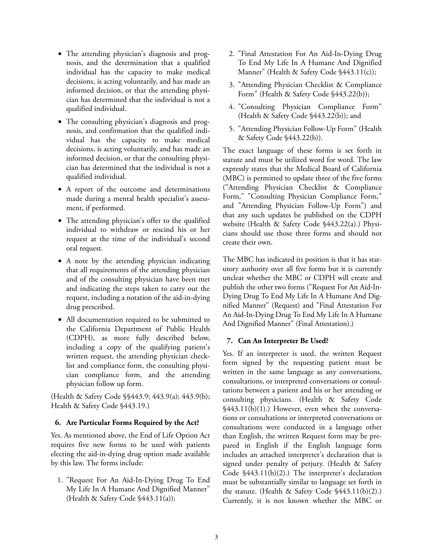- The attending physician's diagnosis and prognosis, and the determination that a qualified individual has the capacity to make medical decisions, is acting voluntarily, and has made an informed decision, or that the attending physician has determined that the individual is not a qualified individual.
- The consulting physician's diagnosis and prognosis, and confirmation that the qualified individual has the capacity to make medical decisions, is acting voluntarily, and has made an informed decision, or that the consulting physician has determined that the individual is not a qualified individual.
- A report of the outcome and determinations made during a mental health specialist's assessment, if performed.
- The attending physician's offer to the qualified individual to withdraw or rescind his or her request at the time of the individual's second oral request.
- A note by the attending physician indicating that all requirements of the attending physician and of the consulting physician have been met and indicating the steps taken to carry out the request, including a notation of the aid-in-dying drug prescribed.
- All documentation required to be submitted to the California Department of Public Health (CDPH), as more fully described below, including a copy of the qualifying patient's written request, the attending physician checklist and compliance form, the consulting physician compliance form, and the attending physician follow up form.

(Health & Safety Code §§443.9; 443.9(a); 443.9(b); Health & Safety Code §443.19.)

#### **6. Are Particular Forms Required by the Act?**

Yes. As mentioned above, the End of Life Option Act requires five new forms to be used with patients electing the aid-in-dying drug option made available by this law. The forms include:

1. "Request For An Aid-In-Dying Drug To End My Life In A Humane And Dignified Manner" (Health & Safety Code §443.11(a));

- 2. "Final Attestation For An Aid-In-Dying Drug To End My Life In A Humane And Dignified Manner" (Health & Safety Code §443.11(c));
- 3. "Attending Physician Checklist & Compliance Form" (Health & Safety Code §443.22(b));
- 4. "Consulting Physician Compliance Form" (Health & Safety Code §443.22(b)); and
- 5. "Attending Physician Follow-Up Form" (Health & Safety Code §443.22(b)).

The exact language of these forms is set forth in statute and must be utilized word for word. The law expressly states that the Medical Board of California (MBC) is permitted to update three of the five forms ("Attending Physician Checklist & Compliance Form," "Consulting Physician Compliance Form," and "Attending Physician Follow-Up Form") and that any such updates be published on the CDPH website (Health & Safety Code §443.22(a).) Physicians should use those three forms and should not create their own.

The MBC has indicated its position is that it has statutory authority over all five forms but it is currently unclear whether the MBC or CDPH will create and publish the other two forms ("Request For An Aid-In-Dying Drug To End My Life In A Humane And Dignified Manner" (Request) and "Final Attestation For An Aid-In-Dying Drug To End My Life In A Humane And Dignified Manner" (Final Attestation).)

#### **7. Can An Interpreter Be Used?**

Yes. If an interpreter is used, the written Request form signed by the requesting patient must be written in the same language as any conversations, consultations, or interpreted conversations or consultations between a patient and his or her attending or consulting physicians. (Health & Safety Code §443.11(b)(1).) However, even when the conversations or consultations or interpreted conversations or consultations were conducted in a language other than English, the written Request form may be prepared in English if the English language form includes an attached interpreter's declaration that is signed under penalty of perjury. (Health & Safety Code §443.11(b)(2).) The interpreter's declaration must be substantially similar to language set forth in the statute. (Health & Safety Code §443.11(b)(2).) Currently, it is not known whether the MBC or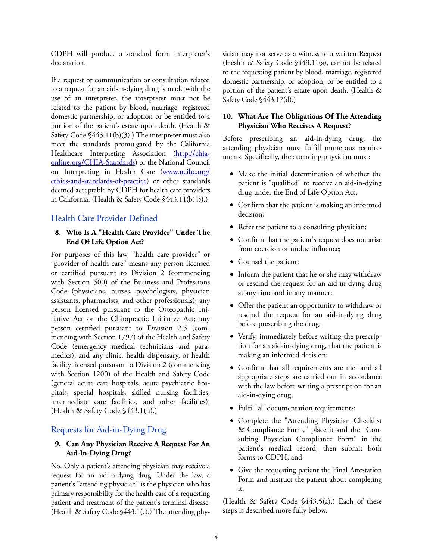CDPH will produce a standard form interpreter's declaration.

If a request or communication or consultation related to a request for an aid-in-dying drug is made with the use of an interpreter, the interpreter must not be related to the patient by blood, marriage, registered domestic partnership, or adoption or be entitled to a portion of the patient's estate upon death. (Health & Safety Code §443.11(b)(3).) The interpreter must also meet the standards promulgated by the California Healthcare Interpreting Association [\(http://chia](http://chiaonline.org/CHIA-Standards)[online.org/CHIA-Standards\)](http://chiaonline.org/CHIA-Standards) or the National Council on Interpreting in Health Care [\(www.ncihc.org/](http://www.ncihc.org/ethics-and-standards-of-practice) [ethics-and-standards-of-practice](http://www.ncihc.org/ethics-and-standards-of-practice)) or other standards deemed acceptable by CDPH for health care providers in California. (Health & Safety Code §443.11(b)(3).)

## Health Care Provider Defined

#### **8. Who Is A "Health Care Provider" Under The End Of Life Option Act?**

For purposes of this law, "health care provider" or "provider of health care" means any person licensed or certified pursuant to Division 2 (commencing with Section 500) of the Business and Professions Code (physicians, nurses, psychologists, physician assistants, pharmacists, and other professionals); any person licensed pursuant to the Osteopathic Initiative Act or the Chiropractic Initiative Act; any person certified pursuant to Division 2.5 (commencing with Section 1797) of the Health and Safety Code (emergency medical technicians and paramedics); and any clinic, health dispensary, or health facility licensed pursuant to Division 2 (commencing with Section 1200) of the Health and Safety Code (general acute care hospitals, acute psychiatric hospitals, special hospitals, skilled nursing facilities, intermediate care facilities, and other facilities). (Health & Safety Code §443.1(h).)

#### Requests for Aid-in-Dying Drug

#### **9. Can Any Physician Receive A Request For An Aid-In-Dying Drug?**

No. Only a patient's attending physician may receive a request for an aid-in-dying drug. Under the law, a patient's "attending physician" is the physician who has primary responsibility for the health care of a requesting patient and treatment of the patient's terminal disease. (Health & Safety Code §443.1(c).) The attending physician may not serve as a witness to a written Request (Health & Safety Code §443.11(a), cannot be related to the requesting patient by blood, marriage, registered domestic partnership, or adoption, or be entitled to a portion of the patient's estate upon death. (Health & Safety Code §443.17(d).)

#### **10. What Are The Obligations Of The Attending Physician Who Receives A Request?**

Before prescribing an aid-in-dying drug, the attending physician must fulfill numerous requirements. Specifically, the attending physician must:

- Make the initial determination of whether the patient is "qualified" to receive an aid-in-dying drug under the End of Life Option Act;
- Confirm that the patient is making an informed decision;
- Refer the patient to a consulting physician;
- Confirm that the patient's request does not arise from coercion or undue influence;
- Counsel the patient;
- Inform the patient that he or she may withdraw or rescind the request for an aid-in-dying drug at any time and in any manner;
- Offer the patient an opportunity to withdraw or rescind the request for an aid-in-dying drug before prescribing the drug;
- Verify, immediately before writing the prescription for an aid-in-dying drug, that the patient is making an informed decision;
- Confirm that all requirements are met and all appropriate steps are carried out in accordance with the law before writing a prescription for an aid-in-dying drug;
- Fulfill all documentation requirements;
- Complete the "Attending Physician Checklist & Compliance Form," place it and the "Consulting Physician Compliance Form" in the patient's medical record, then submit both forms to CDPH; and
- Give the requesting patient the Final Attestation Form and instruct the patient about completing it.

(Health & Safety Code §443.5(a).) Each of these steps is described more fully below.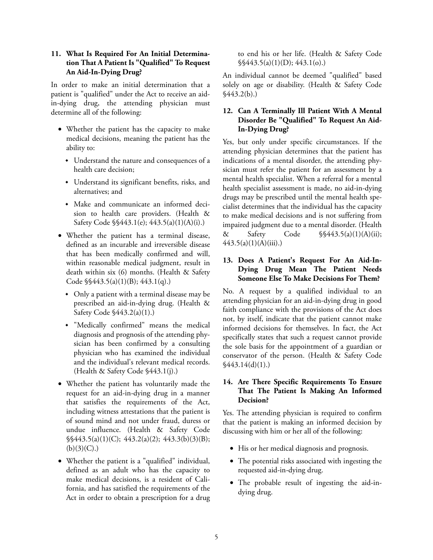#### **11. What Is Required For An Initial Determination That A Patient Is "Qualified" To Request An Aid-In-Dying Drug?**

In order to make an initial determination that a patient is "qualified" under the Act to receive an aidin-dying drug, the attending physician must determine all of the following:

- Whether the patient has the capacity to make medical decisions, meaning the patient has the ability to:
	- Understand the nature and consequences of a health care decision;
	- Understand its significant benefits, risks, and alternatives; and
	- Make and communicate an informed decision to health care providers. (Health & Safety Code §§443.1(e); 443.5(a)(1)(A)(i).)
- Whether the patient has a terminal disease, defined as an incurable and irreversible disease that has been medically confirmed and will, within reasonable medical judgment, result in death within six (6) months. (Health & Safety Code §§443.5(a)(1)(B); 443.1(q).)
	- Only a patient with a terminal disease may be prescribed an aid-in-dying drug. (Health & Safety Code §443.2(a)(1).)
	- "Medically confirmed" means the medical diagnosis and prognosis of the attending physician has been confirmed by a consulting physician who has examined the individual and the individual's relevant medical records. (Health & Safety Code §443.1(j).)
- Whether the patient has voluntarily made the request for an aid-in-dying drug in a manner that satisfies the requirements of the Act, including witness attestations that the patient is of sound mind and not under fraud, duress or undue influence. (Health & Safety Code §§443.5(a)(1)(C); 443.2(a)(2); 443.3(b)(3)(B);  $(b)(3)(C)$ .)
- Whether the patient is a "qualified" individual, defined as an adult who has the capacity to make medical decisions, is a resident of California, and has satisfied the requirements of the Act in order to obtain a prescription for a drug

to end his or her life. (Health & Safety Code  $\frac{\sqrt{443.5(a)(1)(D)}{443.1(b)}}$ 

An individual cannot be deemed "qualified" based solely on age or disability. (Health & Safety Code  $$443.2(b).$ 

#### **12. Can A Terminally Ill Patient With A Mental Disorder Be "Qualified" To Request An Aid-In-Dying Drug?**

Yes, but only under specific circumstances. If the attending physician determines that the patient has indications of a mental disorder, the attending physician must refer the patient for an assessment by a mental health specialist. When a referral for a mental health specialist assessment is made, no aid-in-dying drugs may be prescribed until the mental health specialist determines that the individual has the capacity to make medical decisions and is not suffering from impaired judgment due to a mental disorder. (Health & Safety Code §§443.5(a)(1)(A)(ii);  $443.5(a)(1)(A)(iii)$ .)

### **13. Does A Patient's Request For An Aid-In-Dying Drug Mean The Patient Needs Someone Else To Make Decisions For Them?**

No. A request by a qualified individual to an attending physician for an aid-in-dying drug in good faith compliance with the provisions of the Act does not, by itself, indicate that the patient cannot make informed decisions for themselves. In fact, the Act specifically states that such a request cannot provide the sole basis for the appointment of a guardian or conservator of the person. (Health & Safety Code  $\frac{$43.14(d)(1)}{)}$ 

### **14. Are There Specific Requirements To Ensure That The Patient Is Making An Informed Decision?**

Yes. The attending physician is required to confirm that the patient is making an informed decision by discussing with him or her all of the following:

- His or her medical diagnosis and prognosis.
- The potential risks associated with ingesting the requested aid-in-dying drug.
- The probable result of ingesting the aid-indying drug.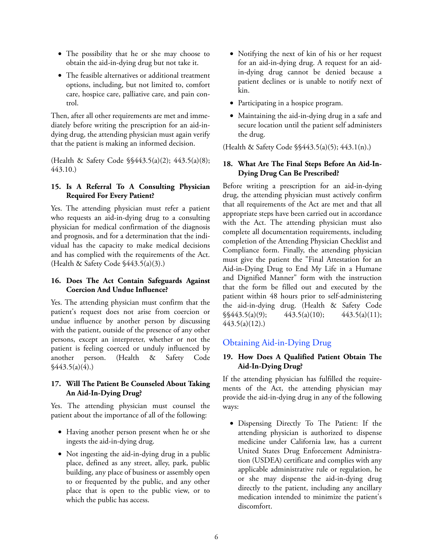- The possibility that he or she may choose to obtain the aid-in-dying drug but not take it.
- The feasible alternatives or additional treatment options, including, but not limited to, comfort care, hospice care, palliative care, and pain control.

Then, after all other requirements are met and immediately before writing the prescription for an aid-indying drug, the attending physician must again verify that the patient is making an informed decision.

(Health & Safety Code §§443.5(a)(2); 443.5(a)(8); 443.10.)

#### **15. Is A Referral To A Consulting Physician Required For Every Patient?**

Yes. The attending physician must refer a patient who requests an aid-in-dying drug to a consulting physician for medical confirmation of the diagnosis and prognosis, and for a determination that the individual has the capacity to make medical decisions and has complied with the requirements of the Act. (Health & Safety Code §443.5(a)(3).)

#### **16. Does The Act Contain Safeguards Against Coercion And Undue Influence?**

Yes. The attending physician must confirm that the patient's request does not arise from coercion or undue influence by another person by discussing with the patient, outside of the presence of any other persons, except an interpreter, whether or not the patient is feeling coerced or unduly influenced by another person. (Health & Safety Code  $\sqrt{443.5(a)(4)}$ .

### **17. Will The Patient Be Counseled About Taking An Aid-In-Dying Drug?**

Yes. The attending physician must counsel the patient about the importance of all of the following:

- Having another person present when he or she ingests the aid-in-dying drug.
- Not ingesting the aid-in-dying drug in a public place, defined as any street, alley, park, public building, any place of business or assembly open to or frequented by the public, and any other place that is open to the public view, or to which the public has access.
- Notifying the next of kin of his or her request for an aid-in-dying drug. A request for an aidin-dying drug cannot be denied because a patient declines or is unable to notify next of kin.
- Participating in a hospice program.
- Maintaining the aid-in-dying drug in a safe and secure location until the patient self administers the drug.

(Health & Safety Code §§443.5(a)(5); 443.1(n).)

#### **18. What Are The Final Steps Before An Aid-In-Dying Drug Can Be Prescribed?**

Before writing a prescription for an aid-in-dying drug, the attending physician must actively confirm that all requirements of the Act are met and that all appropriate steps have been carried out in accordance with the Act. The attending physician must also complete all documentation requirements, including completion of the Attending Physician Checklist and Compliance form. Finally, the attending physician must give the patient the "Final Attestation for an Aid-in-Dying Drug to End My Life in a Humane and Dignified Manner" form with the instruction that the form be filled out and executed by the patient within 48 hours prior to self-administering the aid-in-dying drug. (Health & Safety Code  $\frac{\sqrt{443.5(a)(9)}}{443.5(a)(10)}$ ; 443.5(a)(11); 443.5(a)(12).)

## Obtaining Aid-in-Dying Drug

#### **19. How Does A Qualified Patient Obtain The Aid-In-Dying Drug?**

If the attending physician has fulfilled the requirements of the Act, the attending physician may provide the aid-in-dying drug in any of the following ways:

• Dispensing Directly To The Patient: If the attending physician is authorized to dispense medicine under California law, has a current United States Drug Enforcement Administration (USDEA) certificate and complies with any applicable administrative rule or regulation, he or she may dispense the aid-in-dying drug directly to the patient, including any ancillary medication intended to minimize the patient's discomfort.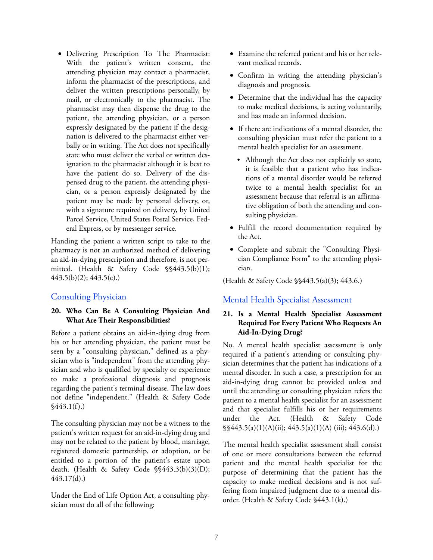• Delivering Prescription To The Pharmacist: With the patient's written consent, the attending physician may contact a pharmacist, inform the pharmacist of the prescriptions, and deliver the written prescriptions personally, by mail, or electronically to the pharmacist. The pharmacist may then dispense the drug to the patient, the attending physician, or a person expressly designated by the patient if the designation is delivered to the pharmacist either verbally or in writing. The Act does not specifically state who must deliver the verbal or written designation to the pharmacist although it is best to have the patient do so. Delivery of the dispensed drug to the patient, the attending physician, or a person expressly designated by the patient may be made by personal delivery, or, with a signature required on delivery, by United Parcel Service, United States Postal Service, Federal Express, or by messenger service.

Handing the patient a written script to take to the pharmacy is not an authorized method of delivering an aid-in-dying prescription and therefore, is not permitted. (Health & Safety Code §§443.5(b)(1); 443.5(b)(2); 443.5(c).)

## Consulting Physician

#### **20. Who Can Be A Consulting Physician And What Are Their Responsibilities?**

Before a patient obtains an aid-in-dying drug from his or her attending physician, the patient must be seen by a "consulting physician," defined as a physician who is "independent" from the attending physician and who is qualified by specialty or experience to make a professional diagnosis and prognosis regarding the patient's terminal disease. The law does not define "independent." (Health & Safety Code  $$443.1(f)$ .

The consulting physician may not be a witness to the patient's written request for an aid-in-dying drug and may not be related to the patient by blood, marriage, registered domestic partnership, or adoption, or be entitled to a portion of the patient's estate upon death. (Health & Safety Code §§443.3(b)(3)(D); 443.17(d).)

Under the End of Life Option Act, a consulting physician must do all of the following:

- Examine the referred patient and his or her relevant medical records.
- Confirm in writing the attending physician's diagnosis and prognosis.
- Determine that the individual has the capacity to make medical decisions, is acting voluntarily, and has made an informed decision.
- If there are indications of a mental disorder, the consulting physician must refer the patient to a mental health specialist for an assessment.
	- Although the Act does not explicitly so state, it is feasible that a patient who has indications of a mental disorder would be referred twice to a mental health specialist for an assessment because that referral is an affirmative obligation of both the attending and consulting physician.
- Fulfill the record documentation required by the Act.
- Complete and submit the "Consulting Physician Compliance Form" to the attending physician.

(Health & Safety Code §§443.5(a)(3); 443.6.)

## Mental Health Specialist Assessment

#### **21. Is a Mental Health Specialist Assessment Required For Every Patient Who Requests An Aid-In-Dying Drug?**

No. A mental health specialist assessment is only required if a patient's attending or consulting physician determines that the patient has indications of a mental disorder. In such a case, a prescription for an aid-in-dying drug cannot be provided unless and until the attending or consulting physician refers the patient to a mental health specialist for an assessment and that specialist fulfills his or her requirements under the Act. (Health & Safety Code §§443.5(a)(1)(A)(ii); 443.5(a)(1)(A) (iii); 443.6(d).)

The mental health specialist assessment shall consist of one or more consultations between the referred patient and the mental health specialist for the purpose of determining that the patient has the capacity to make medical decisions and is not suffering from impaired judgment due to a mental disorder. (Health & Safety Code §443.1(k).)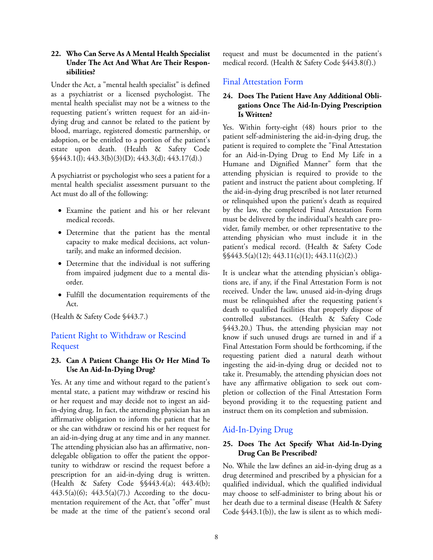#### **22. Who Can Serve As A Mental Health Specialist Under The Act And What Are Their Responsibilities?**

Under the Act, a "mental health specialist" is defined as a psychiatrist or a licensed psychologist. The mental health specialist may not be a witness to the requesting patient's written request for an aid-indying drug and cannot be related to the patient by blood, marriage, registered domestic partnership, or adoption, or be entitled to a portion of the patient's estate upon death. (Health & Safety Code §§443.1(l); 443.3(b)(3)(D); 443.3(d); 443.17(d).)

A psychiatrist or psychologist who sees a patient for a mental health specialist assessment pursuant to the Act must do all of the following:

- Examine the patient and his or her relevant medical records.
- Determine that the patient has the mental capacity to make medical decisions, act voluntarily, and make an informed decision.
- Determine that the individual is not suffering from impaired judgment due to a mental disorder.
- Fulfill the documentation requirements of the Act.

(Health & Safety Code §443.7.)

## Patient Right to Withdraw or Rescind Request

### **23. Can A Patient Change His Or Her Mind To Use An Aid-In-Dying Drug?**

Yes. At any time and without regard to the patient's mental state, a patient may withdraw or rescind his or her request and may decide not to ingest an aidin-dying drug. In fact, the attending physician has an affirmative obligation to inform the patient that he or she can withdraw or rescind his or her request for an aid-in-dying drug at any time and in any manner. The attending physician also has an affirmative, nondelegable obligation to offer the patient the opportunity to withdraw or rescind the request before a prescription for an aid-in-dying drug is written. (Health & Safety Code §§443.4(a); 443.4(b); 443.5(a)(6); 443.5(a)(7).) According to the documentation requirement of the Act, that "offer" must be made at the time of the patient's second oral

request and must be documented in the patient's medical record. (Health & Safety Code §443.8(f).)

## Final Attestation Form

#### **24. Does The Patient Have Any Additional Obligations Once The Aid-In-Dying Prescription Is Written?**

Yes. Within forty-eight (48) hours prior to the patient self-administering the aid-in-dying drug, the patient is required to complete the "Final Attestation for an Aid-in-Dying Drug to End My Life in a Humane and Dignified Manner" form that the attending physician is required to provide to the patient and instruct the patient about completing. If the aid-in-dying drug prescribed is not later returned or relinquished upon the patient's death as required by the law, the completed Final Attestation Form must be delivered by the individual's health care provider, family member, or other representative to the attending physician who must include it in the patient's medical record. (Health & Safety Code §§443.5(a)(12); 443.11(c)(1); 443.11(c)(2).)

It is unclear what the attending physician's obligations are, if any, if the Final Attestation Form is not received. Under the law, unused aid-in-dying drugs must be relinquished after the requesting patient's death to qualified facilities that properly dispose of controlled substances. (Health & Safety Code §443.20.) Thus, the attending physician may not know if such unused drugs are turned in and if a Final Attestation Form should be forthcoming, if the requesting patient died a natural death without ingesting the aid-in-dying drug or decided not to take it. Presumably, the attending physician does not have any affirmative obligation to seek out completion or collection of the Final Attestation Form beyond providing it to the requesting patient and instruct them on its completion and submission.

## Aid-In-Dying Drug

#### **25. Does The Act Specify What Aid-In-Dying Drug Can Be Prescribed?**

No. While the law defines an aid-in-dying drug as a drug determined and prescribed by a physician for a qualified individual, which the qualified individual may choose to self-administer to bring about his or her death due to a terminal disease (Health & Safety Code §443.1(b)), the law is silent as to which medi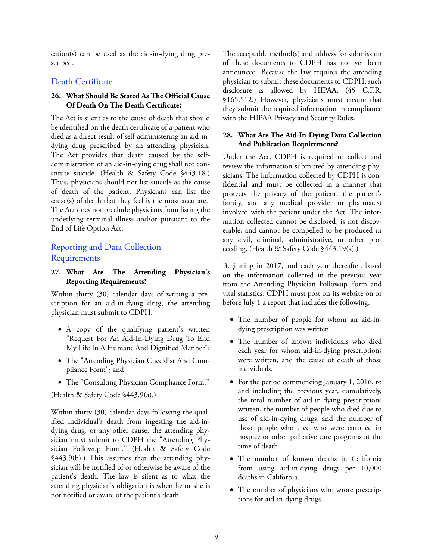cation(s) can be used as the aid-in-dying drug prescribed.

## Death Certificate

#### **26. What Should Be Stated As The Official Cause Of Death On The Death Certificate?**

The Act is silent as to the cause of death that should be identified on the death certificate of a patient who died as a direct result of self-administering an aid-indying drug prescribed by an attending physician. The Act provides that death caused by the selfadministration of an aid-in-dying drug shall not constitute suicide. (Health & Safety Code §443.18.) Thus, physicians should not list suicide as the cause of death of the patient. Physicians can list the cause(s) of death that they feel is the most accurate. The Act does not preclude physicians from listing the underlying terminal illness and/or pursuant to the End of Life Option Act.

## Reporting and Data Collection Requirements

#### **27. What Are The Attending Physician's Reporting Requirements?**

Within thirty (30) calendar days of writing a prescription for an aid-in-dying drug, the attending physician must submit to CDPH:

- A copy of the qualifying patient's written "Request For An Aid-In-Dying Drug To End My Life In A Humane And Dignified Manner";
- The "Attending Physician Checklist And Compliance Form"; and
- The "Consulting Physician Compliance Form."

(Health & Safety Code §443.9(a).)

Within thirty (30) calendar days following the qualified individual's death from ingesting the aid-indying drug, or any other cause, the attending physician must submit to CDPH the "Attending Physician Followup Form." (Health & Safety Code §443.9(b).) This assumes that the attending physician will be notified of or otherwise be aware of the patient's death. The law is silent as to what the attending physician's obligation is when he or she is not notified or aware of the patient's death.

The acceptable method(s) and address for submission of these documents to CDPH has not yet been announced. Because the law requires the attending physician to submit these documents to CDPH, such disclosure is allowed by HIPAA. (45 C.F.R. §165.512.) However, physicians must ensure that they submit the required information in compliance with the HIPAA Privacy and Security Rules.

#### **28. What Are The Aid-In-Dying Data Collection And Publication Requirements?**

Under the Act, CDPH is required to collect and review the information submitted by attending physicians. The information collected by CDPH is confidential and must be collected in a manner that protects the privacy of the patient, the patient's family, and any medical provider or pharmacist involved with the patient under the Act. The information collected cannot be disclosed, is not discoverable, and cannot be compelled to be produced in any civil, criminal, administrative, or other proceeding. (Health & Safety Code §443.19(a).)

Beginning in 2017, and each year thereafter, based on the information collected in the previous year from the Attending Physician Followup Form and vital statistics, CDPH must post on its website on or before July 1 a report that includes the following:

- The number of people for whom an aid-indying prescription was written.
- The number of known individuals who died each year for whom aid-in-dying prescriptions were written, and the cause of death of those individuals.
- For the period commencing January 1, 2016, to and including the previous year, cumulatively, the total number of aid-in-dying prescriptions written, the number of people who died due to use of aid-in-dying drugs, and the number of those people who died who were enrolled in hospice or other palliative care programs at the time of death.
- The number of known deaths in California from using aid-in-dying drugs per 10,000 deaths in California.
- The number of physicians who wrote prescriptions for aid-in-dying drugs.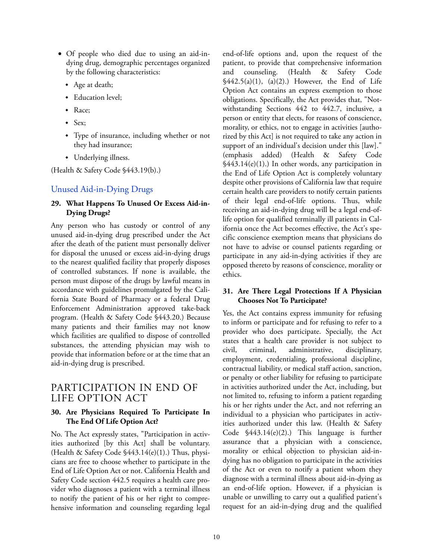- Of people who died due to using an aid-indying drug, demographic percentages organized by the following characteristics:
	- Age at death;
	- Education level;
	- Race:
	- $\bullet$  Sex:
	- Type of insurance, including whether or not they had insurance;
	- Underlying illness.

(Health & Safety Code §443.19(b).)

## Unused Aid-in-Dying Drugs

#### **29. What Happens To Unused Or Excess Aid-in-Dying Drugs?**

Any person who has custody or control of any unused aid-in-dying drug prescribed under the Act after the death of the patient must personally deliver for disposal the unused or excess aid-in-dying drugs to the nearest qualified facility that properly disposes of controlled substances. If none is available, the person must dispose of the drugs by lawful means in accordance with guidelines promulgated by the California State Board of Pharmacy or a federal Drug Enforcement Administration approved take-back program. (Health & Safety Code §443.20.) Because many patients and their families may not know which facilities are qualified to dispose of controlled substances, the attending physician may wish to provide that information before or at the time that an aid-in-dying drug is prescribed.

## PARTICIPATION IN END OF LIFE OPTION ACT

#### **30. Are Physicians Required To Participate In The End Of Life Option Act?**

No. The Act expressly states, "Participation in activities authorized [by this Act] shall be voluntary. (Health & Safety Code §443.14(e)(1).) Thus, physicians are free to choose whether to participate in the End of Life Option Act or not. California Health and Safety Code section 442.5 requires a health care provider who diagnoses a patient with a terminal illness to notify the patient of his or her right to comprehensive information and counseling regarding legal end-of-life options and, upon the request of the patient, to provide that comprehensive information and counseling. (Health & Safety Code  $\frac{\sqrt{442.5(a)(1)}}{a(2)}$ . However, the End of Life Option Act contains an express exemption to those obligations. Specifically, the Act provides that, "Notwithstanding Sections 442 to 442.7, inclusive, a person or entity that elects, for reasons of conscience, morality, or ethics, not to engage in activities [authorized by this Act] is not required to take any action in support of an individual's decision under this [law]." (emphasis added) (Health & Safety Code  $\frac{\sqrt{443.14(e)(1)}}{2}$  In other words, any participation in the End of Life Option Act is completely voluntary despite other provisions of California law that require certain health care providers to notify certain patients of their legal end-of-life options. Thus, while receiving an aid-in-dying drug will be a legal end-oflife option for qualified terminally ill patients in California once the Act becomes effective, the Act's specific conscience exemption means that physicians do not have to advise or counsel patients regarding or participate in any aid-in-dying activities if they are opposed thereto by reasons of conscience, morality or ethics.

#### **31. Are There Legal Protections If A Physician Chooses Not To Participate?**

Yes, the Act contains express immunity for refusing to inform or participate and for refusing to refer to a provider who does participate. Specially, the Act states that a health care provider is not subject to civil, criminal, administrative, disciplinary, employment, credentialing, professional discipline, contractual liability, or medical staff action, sanction, or penalty or other liability for refusing to participate in activities authorized under the Act, including, but not limited to, refusing to inform a patient regarding his or her rights under the Act, and not referring an individual to a physician who participates in activities authorized under this law. (Health & Safety Code §443.14(e)(2).) This language is further assurance that a physician with a conscience, morality or ethical objection to physician aid-indying has no obligation to participate in the activities of the Act or even to notify a patient whom they diagnose with a terminal illness about aid-in-dying as an end-of-life option. However, if a physician is unable or unwilling to carry out a qualified patient's request for an aid-in-dying drug and the qualified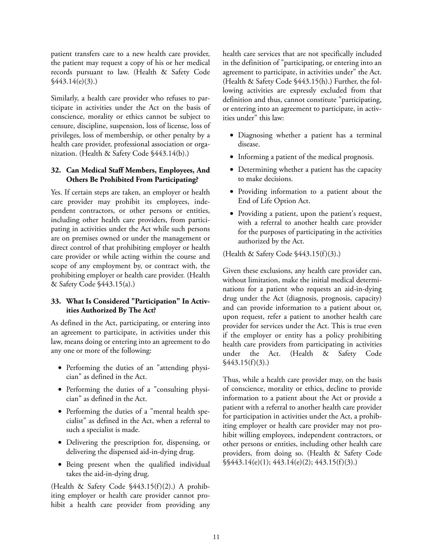patient transfers care to a new health care provider, the patient may request a copy of his or her medical records pursuant to law. (Health & Safety Code §443.14(e)(3).)

Similarly, a health care provider who refuses to participate in activities under the Act on the basis of conscience, morality or ethics cannot be subject to censure, discipline, suspension, loss of license, loss of privileges, loss of membership, or other penalty by a health care provider, professional association or organization. (Health & Safety Code §443.14(b).)

#### **32. Can Medical Staff Members, Employees, And Others Be Prohibited From Participating?**

Yes. If certain steps are taken, an employer or health care provider may prohibit its employees, independent contractors, or other persons or entities, including other health care providers, from participating in activities under the Act while such persons are on premises owned or under the management or direct control of that prohibiting employer or health care provider or while acting within the course and scope of any employment by, or contract with, the prohibiting employer or health care provider. (Health & Safety Code §443.15(a).)

### **33. What Is Considered "Participation" In Activities Authorized By The Act?**

As defined in the Act, participating, or entering into an agreement to participate, in activities under this law, means doing or entering into an agreement to do any one or more of the following:

- Performing the duties of an "attending physician" as defined in the Act.
- Performing the duties of a "consulting physician" as defined in the Act.
- Performing the duties of a "mental health specialist" as defined in the Act, when a referral to such a specialist is made.
- Delivering the prescription for, dispensing, or delivering the dispensed aid-in-dying drug.
- Being present when the qualified individual takes the aid-in-dying drug.

(Health & Safety Code §443.15(f)(2).) A prohibiting employer or health care provider cannot prohibit a health care provider from providing any health care services that are not specifically included in the definition of "participating, or entering into an agreement to participate, in activities under" the Act. (Health & Safety Code §443.15(h).) Further, the following activities are expressly excluded from that definition and thus, cannot constitute "participating, or entering into an agreement to participate, in activities under" this law:

- Diagnosing whether a patient has a terminal disease.
- Informing a patient of the medical prognosis.
- Determining whether a patient has the capacity to make decisions.
- Providing information to a patient about the End of Life Option Act.
- Providing a patient, upon the patient's request, with a referral to another health care provider for the purposes of participating in the activities authorized by the Act.

(Health & Safety Code §443.15(f)(3).)

Given these exclusions, any health care provider can, without limitation, make the initial medical determinations for a patient who requests an aid-in-dying drug under the Act (diagnosis, prognosis, capacity) and can provide information to a patient about or, upon request, refer a patient to another health care provider for services under the Act. This is true even if the employer or entity has a policy prohibiting health care providers from participating in activities under the Act. (Health & Safety Code  $\sqrt{443.15(f)(3)}$ .

Thus, while a health care provider may, on the basis of conscience, morality or ethics, decline to provide information to a patient about the Act or provide a patient with a referral to another health care provider for participation in activities under the Act, a prohibiting employer or health care provider may not prohibit willing employees, independent contractors, or other persons or entities, including other health care providers, from doing so. (Health & Safety Code §§443.14(e)(1); 443.14(e)(2); 443.15(f)(3).)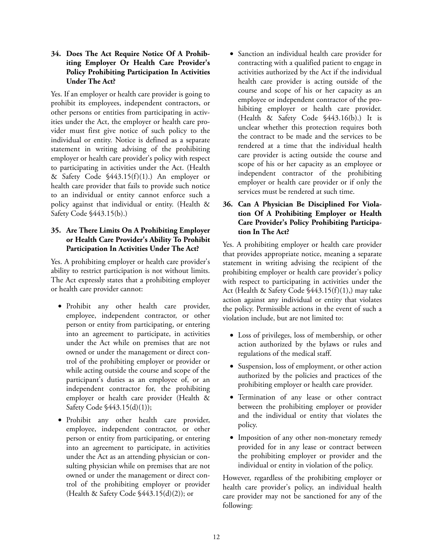**34. Does The Act Require Notice Of A Prohibiting Employer Or Health Care Provider's Policy Prohibiting Participation In Activities Under The Act?**

Yes. If an employer or health care provider is going to prohibit its employees, independent contractors, or other persons or entities from participating in activities under the Act, the employer or health care provider must first give notice of such policy to the individual or entity. Notice is defined as a separate statement in writing advising of the prohibiting employer or health care provider's policy with respect to participating in activities under the Act. (Health & Safety Code §443.15(f)(1).) An employer or health care provider that fails to provide such notice to an individual or entity cannot enforce such a policy against that individual or entity. (Health & Safety Code §443.15(b).)

## **35. Are There Limits On A Prohibiting Employer or Health Care Provider's Ability To Prohibit Participation In Activities Under The Act?**

Yes. A prohibiting employer or health care provider's ability to restrict participation is not without limits. The Act expressly states that a prohibiting employer or health care provider cannot:

- Prohibit any other health care provider, employee, independent contractor, or other person or entity from participating, or entering into an agreement to participate, in activities under the Act while on premises that are not owned or under the management or direct control of the prohibiting employer or provider or while acting outside the course and scope of the participant's duties as an employee of, or an independent contractor for, the prohibiting employer or health care provider (Health & Safety Code §443.15(d)(1));
- Prohibit any other health care provider, employee, independent contractor, or other person or entity from participating, or entering into an agreement to participate, in activities under the Act as an attending physician or consulting physician while on premises that are not owned or under the management or direct control of the prohibiting employer or provider (Health & Safety Code  $$443.15(d)(2)$ ); or

• Sanction an individual health care provider for contracting with a qualified patient to engage in activities authorized by the Act if the individual health care provider is acting outside of the course and scope of his or her capacity as an employee or independent contractor of the prohibiting employer or health care provider. (Health & Safety Code §443.16(b).) It is unclear whether this protection requires both the contract to be made and the services to be rendered at a time that the individual health care provider is acting outside the course and scope of his or her capacity as an employee or independent contractor of the prohibiting employer or health care provider or if only the services must be rendered at such time.

### **36. Can A Physician Be Disciplined For Violation Of A Prohibiting Employer or Health Care Provider's Policy Prohibiting Participation In The Act?**

Yes. A prohibiting employer or health care provider that provides appropriate notice, meaning a separate statement in writing advising the recipient of the prohibiting employer or health care provider's policy with respect to participating in activities under the Act (Health & Safety Code §443.15(f)(1),) may take action against any individual or entity that violates the policy. Permissible actions in the event of such a violation include, but are not limited to:

- Loss of privileges, loss of membership, or other action authorized by the bylaws or rules and regulations of the medical staff.
- Suspension, loss of employment, or other action authorized by the policies and practices of the prohibiting employer or health care provider.
- Termination of any lease or other contract between the prohibiting employer or provider and the individual or entity that violates the policy.
- Imposition of any other non-monetary remedy provided for in any lease or contract between the prohibiting employer or provider and the individual or entity in violation of the policy.

However, regardless of the prohibiting employer or health care provider's policy, an individual health care provider may not be sanctioned for any of the following: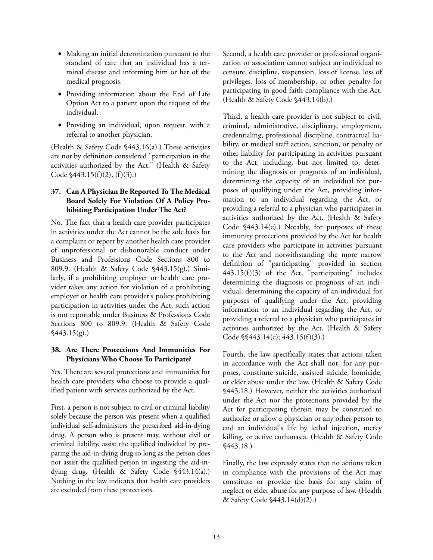- Making an initial determination pursuant to the standard of care that an individual has a terminal disease and informing him or her of the medical prognosis.
- Providing information about the End of Life Option Act to a patient upon the request of the individual.
- Providing an individual, upon request, with a referral to another physician.

(Health & Safety Code §443.16(a).) These activities are not by definition considered "participation in the activities authorized by the Act." (Health & Safety Code §443.15(f)(2), (f)(3).)

#### **37. Can A Physician Be Reported To The Medical Board Solely For Violation Of A Policy Prohibiting Participation Under The Act?**

No. The fact that a health care provider participates in activities under the Act cannot be the sole basis for a complaint or report by another health care provider of unprofessional or dishonorable conduct under Business and Professions Code Sections 800 to 809.9. (Health & Safety Code §443.15(g).) Similarly, if a prohibiting employer or health care provider takes any action for violation of a prohibiting employer or health care provider's policy prohibiting participation in activities under the Act, such action is not reportable under Business & Professions Code Sections 800 to 809.9. (Health & Safety Code  $\frac{$443.15(g)}{)}$ 

#### **38. Are There Protections And Immunities For Physicians Who Choose To Participate?**

Yes. There are several protections and immunities for health care providers who choose to provide a qualified patient with services authorized by the Act.

First, a person is not subject to civil or criminal liability solely because the person was present when a qualified individual self-administers the prescribed aid-in-dying drug. A person who is present may, without civil or criminal liability, assist the qualified individual by preparing the aid-in-dying drug so long as the person does not assist the qualified person in ingesting the aid-indying drug. (Health & Safety Code §443.14(a).) Nothing in the law indicates that health care providers are excluded from these protections.

Second, a health care provider or professional organization or association cannot subject an individual to censure, discipline, suspension, loss of license, loss of privileges, loss of membership, or other penalty for participating in good faith compliance with the Act. (Health & Safety Code §443.14(b).)

Third, a health care provider is not subject to civil, criminal, administrative, disciplinary, employment, credentialing, professional discipline, contractual liability, or medical staff action, sanction, or penalty or other liability for participating in activities pursuant to the Act, including, but not limited to, determining the diagnosis or prognosis of an individual, determining the capacity of an individual for purposes of qualifying under the Act, providing information to an individual regarding the Act, or providing a referral to a physician who participates in activities authorized by the Act. (Health & Safety Code §443.14(c).) Notably, for purposes of these immunity protections provided by the Act for health care providers who participate in activities pursuant to the Act and notwithstanding the more narrow definition of "participating" provided in section 443.15(f)(3) of the Act, "participating" includes determining the diagnosis or prognosis of an individual, determining the capacity of an individual for purposes of qualifying under the Act, providing information to an individual regarding the Act, or providing a referral to a physician who participates in activities authorized by the Act. (Health & Safety Code §§443.14(c); 443.15(f)(3).)

Fourth, the law specifically states that actions taken in accordance with the Act shall not, for any purposes, constitute suicide, assisted suicide, homicide, or elder abuse under the law. (Health & Safety Code §443.18.) However, neither the activities authorized under the Act nor the protections provided by the Act for participating therein may be construed to authorize or allow a physician or any other person to end an individual's life by lethal injection, mercy killing, or active euthanasia. (Health & Safety Code §443.18.)

Finally, the law expressly states that no actions taken in compliance with the provisions of the Act may constitute or provide the basis for any claim of neglect or elder abuse for any purpose of law. (Health & Safety Code §443.14(d)(2).)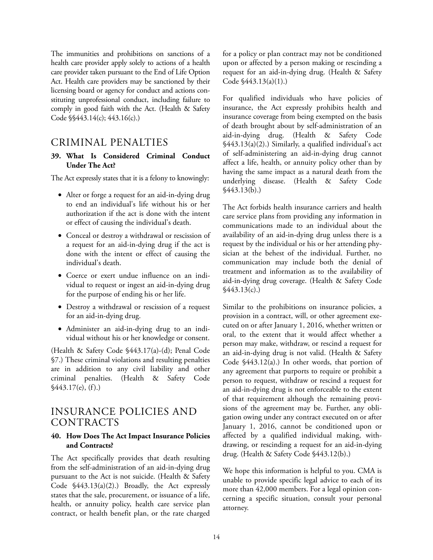The immunities and prohibitions on sanctions of a health care provider apply solely to actions of a health care provider taken pursuant to the End of Life Option Act. Health care providers may be sanctioned by their licensing board or agency for conduct and actions constituting unprofessional conduct, including failure to comply in good faith with the Act. (Health & Safety Code §§443.14(c); 443.16(c).)

## CRIMINAL PENALTIES

#### **39. What Is Considered Criminal Conduct Under The Act?**

The Act expressly states that it is a felony to knowingly:

- Alter or forge a request for an aid-in-dying drug to end an individual's life without his or her authorization if the act is done with the intent or effect of causing the individual's death.
- Conceal or destroy a withdrawal or rescission of a request for an aid-in-dying drug if the act is done with the intent or effect of causing the individual's death.
- Coerce or exert undue influence on an individual to request or ingest an aid-in-dying drug for the purpose of ending his or her life.
- Destroy a withdrawal or rescission of a request for an aid-in-dying drug.
- Administer an aid-in-dying drug to an individual without his or her knowledge or consent.

(Health & Safety Code §443.17(a)-(d); Penal Code §7.) These criminal violations and resulting penalties are in addition to any civil liability and other criminal penalties. (Health & Safety Code  $\frac{$443.17(e), (f)}{h}$ 

## INSURANCE POLICIES AND CONTRACTS

#### **40. How Does The Act Impact Insurance Policies and Contracts?**

The Act specifically provides that death resulting from the self-administration of an aid-in-dying drug pursuant to the Act is not suicide. (Health & Safety Code §443.13(a)(2).) Broadly, the Act expressly states that the sale, procurement, or issuance of a life, health, or annuity policy, health care service plan contract, or health benefit plan, or the rate charged

for a policy or plan contract may not be conditioned upon or affected by a person making or rescinding a request for an aid-in-dying drug. (Health & Safety Code §443.13(a)(1).)

For qualified individuals who have policies of insurance, the Act expressly prohibits health and insurance coverage from being exempted on the basis of death brought about by self-administration of an aid-in-dying drug. (Health & Safety Code §443.13(a)(2).) Similarly, a qualified individual's act of self-administering an aid-in-dying drug cannot affect a life, health, or annuity policy other than by having the same impact as a natural death from the underlying disease. (Health & Safety Code §443.13(b).)

The Act forbids health insurance carriers and health care service plans from providing any information in communications made to an individual about the availability of an aid-in-dying drug unless there is a request by the individual or his or her attending physician at the behest of the individual. Further, no communication may include both the denial of treatment and information as to the availability of aid-in-dying drug coverage. (Health & Safety Code  $\frac{$443.13(c)}{c}$ 

Similar to the prohibitions on insurance policies, a provision in a contract, will, or other agreement executed on or after January 1, 2016, whether written or oral, to the extent that it would affect whether a person may make, withdraw, or rescind a request for an aid-in-dying drug is not valid. (Health & Safety Code §443.12(a).) In other words, that portion of any agreement that purports to require or prohibit a person to request, withdraw or rescind a request for an aid-in-dying drug is not enforceable to the extent of that requirement although the remaining provisions of the agreement may be. Further, any obligation owing under any contract executed on or after January 1, 2016, cannot be conditioned upon or affected by a qualified individual making, withdrawing, or rescinding a request for an aid-in-dying drug. (Health & Safety Code §443.12(b).)

We hope this information is helpful to you. CMA is unable to provide specific legal advice to each of its more than 42,000 members. For a legal opinion concerning a specific situation, consult your personal attorney.